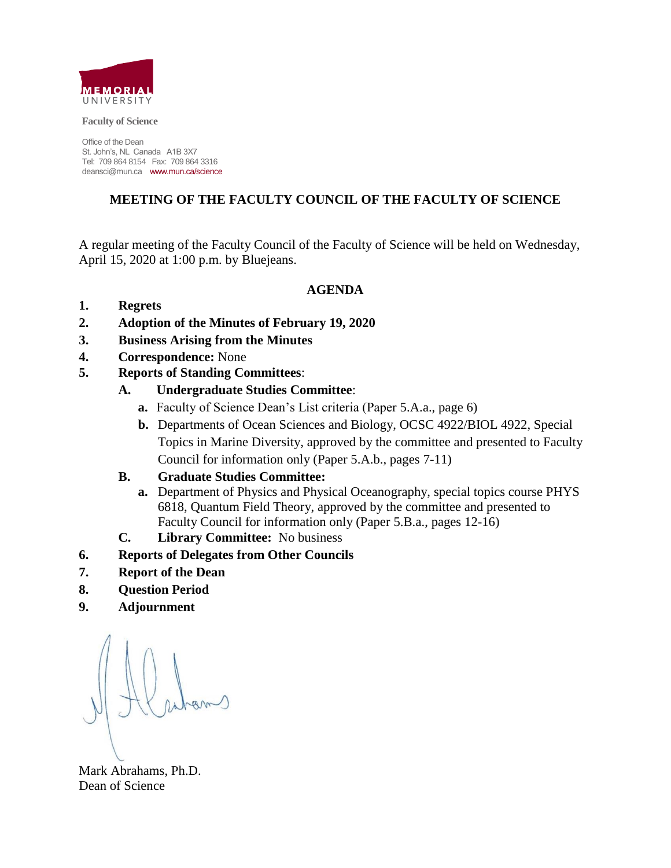

**Faculty of Science** 

Office of the Dean St. John's, NL Canada A1B 3X7 Tel: 709 864 8154 Fax: 709 864 3316 deansci@mun.ca www.mun.ca/science

#### **MEETING OF THE FACULTY COUNCIL OF THE FACULTY OF SCIENCE**

A regular meeting of the Faculty Council of the Faculty of Science will be held on Wednesday, April 15, 2020 at 1:00 p.m. by Bluejeans.

#### **AGENDA**

- **1. Regrets**
- **2. Adoption of the Minutes of February 19, 2020**
- **3. Business Arising from the Minutes**
- **4. Correspondence:** None
- **5. Reports of Standing Committees**:
	- **A. Undergraduate Studies Committee**:
		- **a.** Faculty of Science Dean's List criteria (Paper 5.A.a., page 6)
		- **b.** Departments of Ocean Sciences and Biology, OCSC 4922/BIOL 4922, Special Topics in Marine Diversity, approved by the committee and presented to Faculty Council for information only (Paper 5.A.b., pages 7-11)

#### **B. Graduate Studies Committee:**

- **a.** Department of Physics and Physical Oceanography, special topics course PHYS 6818, Quantum Field Theory, approved by the committee and presented to Faculty Council for information only (Paper 5.B.a., pages 12-16)
- **C. Library Committee:** No business

#### **6. Reports of Delegates from Other Councils**

- **7. Report of the Dean**
- **8. Question Period**
- **9. Adjournment**

Mark Abrahams, Ph.D. Dean of Science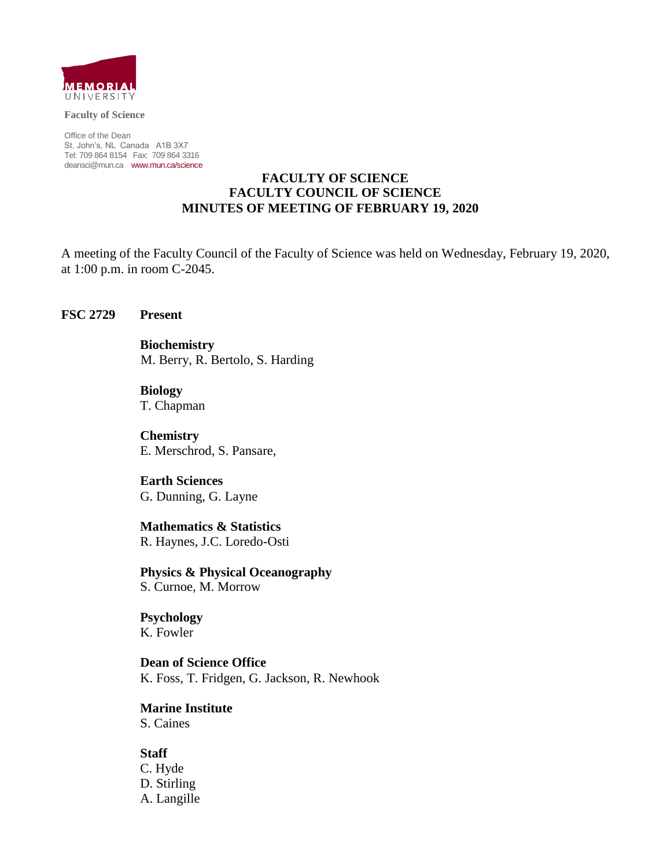

**Faculty of Science**

Office of the Dean St. John's, NL Canada A1B 3X7 Tel: 709 864 8154 Fax: 709 864 3316 [deansci@mun.ca](mailto:deansci@mun.ca) [www.mun.ca/science](http://www.mun.ca/science)

#### **FACULTY OF SCIENCE FACULTY COUNCIL OF SCIENCE MINUTES OF MEETING OF FEBRUARY 19, 2020**

A meeting of the Faculty Council of the Faculty of Science was held on Wednesday, February 19, 2020, at 1:00 p.m. in room C-2045.

#### **FSC 2729 Present**

**Biochemistry**  M. Berry, R. Bertolo, S. Harding

**Biology**  T. Chapman

**Chemistry**  E. Merschrod, S. Pansare,

**Earth Sciences**  G. Dunning, G. Layne

**Mathematics & Statistics**  R. Haynes, J.C. Loredo-Osti

**Physics & Physical Oceanography**  S. Curnoe, M. Morrow

**Psychology**  K. Fowler

**Dean of Science Office**  K. Foss, T. Fridgen, G. Jackson, R. Newhook

**Marine Institute**  S. Caines

#### **Staff**

C. Hyde D. Stirling A. Langille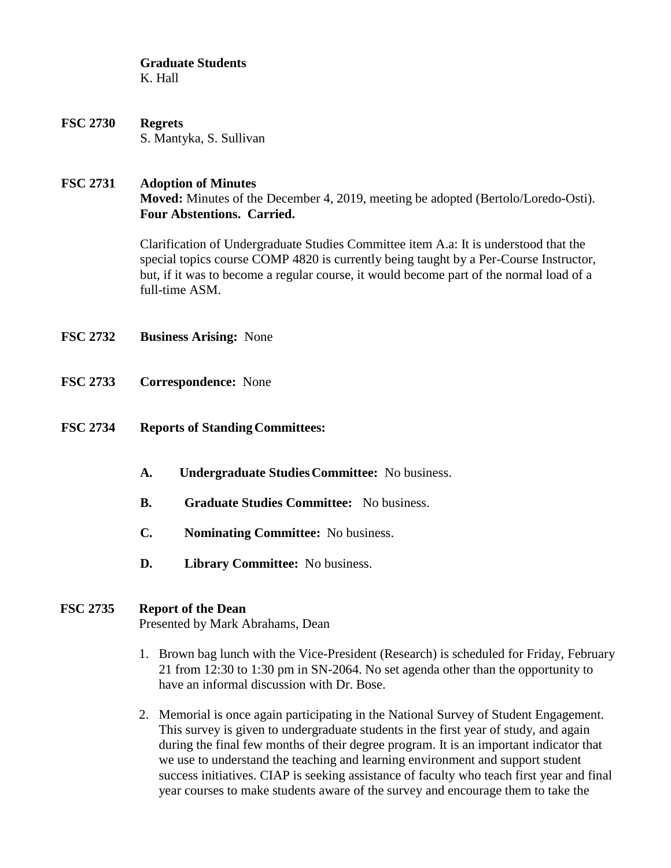**Graduate Students**  K. Hall

**FSC 2730 Regrets**  S. Mantyka, S. Sullivan

#### **FSC 2731 Adoption of Minutes**

**Moved:** Minutes of the December 4, 2019, meeting be adopted (Bertolo/Loredo-Osti). **Four Abstentions. Carried.** 

Clarification of Undergraduate Studies Committee item A.a: It is understood that the special topics course COMP 4820 is currently being taught by a Per-Course Instructor, but, if it was to become a regular course, it would become part of the normal load of a full-time ASM.

- **FSC 2732 Business Arising:** None
- **FSC 2733 Correspondence:** None
- **FSC 2734 Reports of Standing Committees:** 
	- **A. Undergraduate Studies Committee:** No business.
	- **B. Graduate Studies Committee:** No business.
	- **C. Nominating Committee:** No business.
	- **D. Library Committee:** No business.

#### **FSC 2735 Report of the Dean**

Presented by Mark Abrahams, Dean

- 1. Brown bag lunch with the Vice-President (Research) is scheduled for Friday, February 21 from 12:30 to 1:30 pm in SN-2064. No set agenda other than the opportunity to have an informal discussion with Dr. Bose.
- 2. Memorial is once again participating in the National Survey of Student Engagement. This survey is given to undergraduate students in the first year of study, and again during the final few months of their degree program. It is an important indicator that we use to understand the teaching and learning environment and support student success initiatives. CIAP is seeking assistance of faculty who teach first year and final year courses to make students aware of the survey and encourage them to take the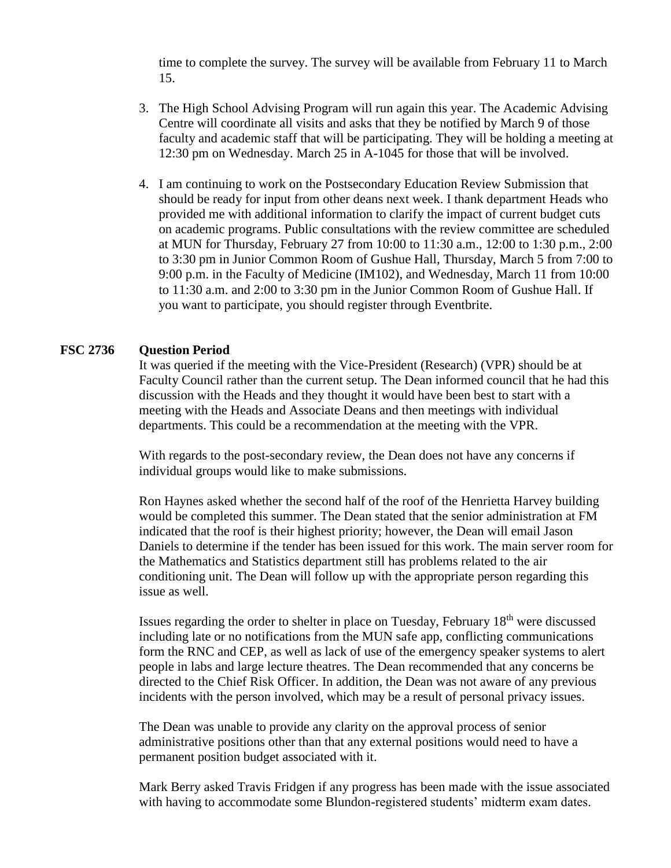time to complete the survey. The survey will be available from February 11 to March 15.

- 3. The High School Advising Program will run again this year. The Academic Advising Centre will coordinate all visits and asks that they be notified by March 9 of those faculty and academic staff that will be participating. They will be holding a meeting at 12:30 pm on Wednesday. March 25 in A-1045 for those that will be involved.
- 4. I am continuing to work on the Postsecondary Education Review Submission that should be ready for input from other deans next week. I thank department Heads who provided me with additional information to clarify the impact of current budget cuts on academic programs. Public consultations with the review committee are scheduled at MUN for Thursday, February 27 from 10:00 to 11:30 a.m., 12:00 to 1:30 p.m., 2:00 to 3:30 pm in Junior Common Room of Gushue Hall, Thursday, March 5 from 7:00 to 9:00 p.m. in the Faculty of Medicine (IM102), and Wednesday, March 11 from 10:00 to 11:30 a.m. and 2:00 to 3:30 pm in the Junior Common Room of Gushue Hall. If you want to participate, you should register through Eventbrite.

#### **FSC 2736 Question Period**

It was queried if the meeting with the Vice-President (Research) (VPR) should be at Faculty Council rather than the current setup. The Dean informed council that he had this discussion with the Heads and they thought it would have been best to start with a meeting with the Heads and Associate Deans and then meetings with individual departments. This could be a recommendation at the meeting with the VPR.

With regards to the post-secondary review, the Dean does not have any concerns if individual groups would like to make submissions.

Ron Haynes asked whether the second half of the roof of the Henrietta Harvey building would be completed this summer. The Dean stated that the senior administration at FM indicated that the roof is their highest priority; however, the Dean will email Jason Daniels to determine if the tender has been issued for this work. The main server room for the Mathematics and Statistics department still has problems related to the air conditioning unit. The Dean will follow up with the appropriate person regarding this issue as well.

Issues regarding the order to shelter in place on Tuesday, February 18<sup>th</sup> were discussed including late or no notifications from the MUN safe app, conflicting communications form the RNC and CEP, as well as lack of use of the emergency speaker systems to alert people in labs and large lecture theatres. The Dean recommended that any concerns be directed to the Chief Risk Officer. In addition, the Dean was not aware of any previous incidents with the person involved, which may be a result of personal privacy issues.

The Dean was unable to provide any clarity on the approval process of senior administrative positions other than that any external positions would need to have a permanent position budget associated with it.

Mark Berry asked Travis Fridgen if any progress has been made with the issue associated with having to accommodate some Blundon-registered students' midterm exam dates.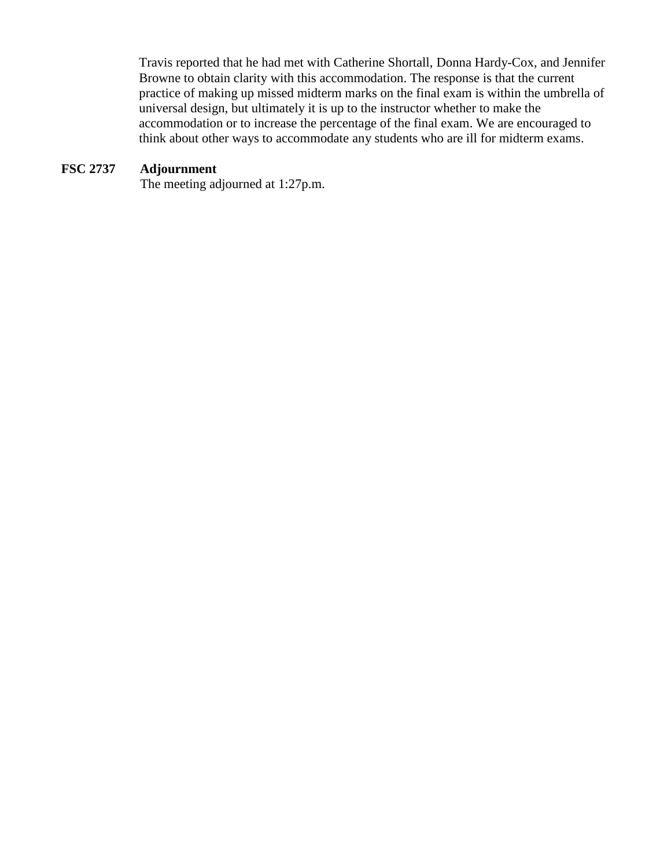Travis reported that he had met with Catherine Shortall, Donna Hardy-Cox, and Jennifer Browne to obtain clarity with this accommodation. The response is that the current practice of making up missed midterm marks on the final exam is within the umbrella of universal design, but ultimately it is up to the instructor whether to make the accommodation or to increase the percentage of the final exam. We are encouraged to think about other ways to accommodate any students who are ill for midterm exams.

#### **FSC 2737 Adjournment**

The meeting adjourned at 1:27p.m.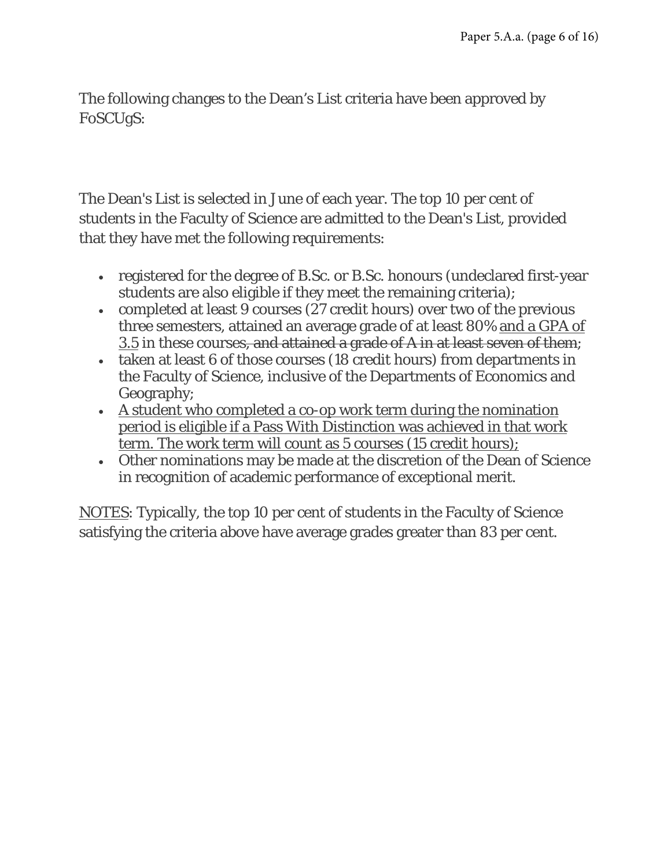The following changes to the Dean's List criteria have been approved by FoSCUgS:

The Dean's List is selected in June of each year. The top 10 per cent of students in the Faculty of Science are admitted to the Dean's List, provided that they have met the following requirements:

- registered for the degree of B.Sc. or B.Sc. honours (undeclared first-year students are also eligible if they meet the remaining criteria);
- completed at least 9 courses (27 credit hours) over two of the previous three semesters, attained an average grade of at least 80% and a GPA of 3.5 in these courses, and attained a grade of A in at least seven of them;
- taken at least 6 of those courses (18 credit hours) from departments in the Faculty of Science, inclusive of the Departments of Economics and Geography;
- A student who completed a co-op work term during the nomination period is eligible if a Pass With Distinction was achieved in that work term. The work term will count as 5 courses (15 credit hours);
- Other nominations may be made at the discretion of the Dean of Science in recognition of academic performance of exceptional merit.

NOTES: Typically, the top 10 per cent of students in the Faculty of Science satisfying the criteria above have average grades greater than 83 per cent.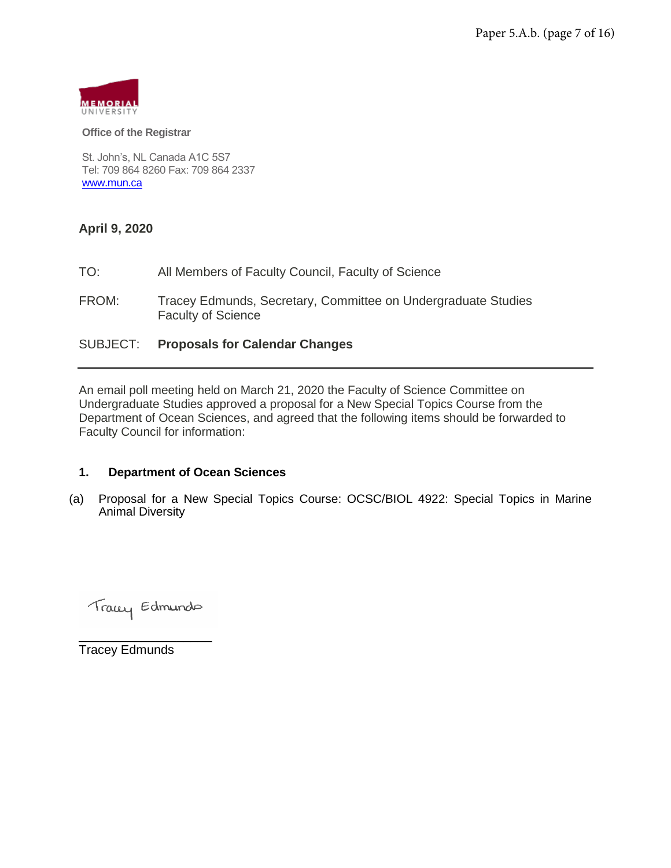

#### **Office of the Registrar**

St. John's, NL Canada A1C 5S7 Tel: 709 864 8260 Fax: 709 864 2337 [www.mun.ca](http://www.mun.ca/)

#### **April 9, 2020**

TO: All Members of Faculty Council, Faculty of Science FROM: Tracey Edmunds, Secretary, Committee on Undergraduate Studies Faculty of Science SUBJECT: **Proposals for Calendar Changes** 

An email poll meeting held on March 21, 2020 the Faculty of Science Committee on Undergraduate Studies approved a proposal for a New Special Topics Course from the Department of Ocean Sciences, and agreed that the following items should be forwarded to Faculty Council for information:

#### **1. Department of Ocean Sciences**

(a) Proposal for a New Special Topics Course: OCSC/BIOL 4922: Special Topics in Marine Animal Diversity

Tracey Edmundo

\_\_\_\_\_\_\_\_\_\_\_\_\_\_\_\_\_\_\_

Tracey Edmunds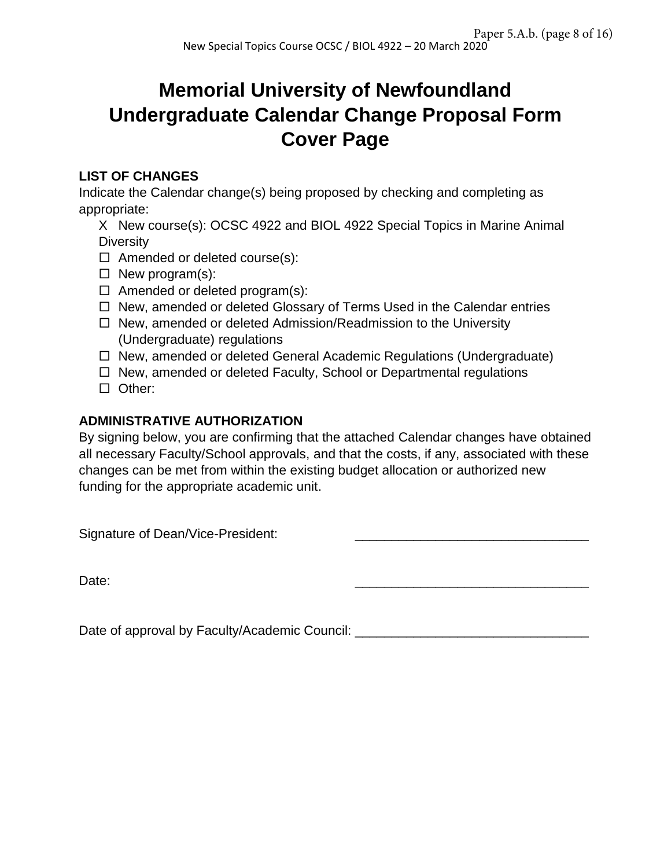# **Memorial University of Newfoundland Undergraduate Calendar Change Proposal Form Cover Page**

### **LIST OF CHANGES**

Indicate the Calendar change(s) being proposed by checking and completing as appropriate:

X New course(s): OCSC 4922 and BIOL 4922 Special Topics in Marine Animal **Diversity** 

- $\Box$  Amended or deleted course(s):
- $\Box$  New program(s):
- $\Box$  Amended or deleted program(s):
- $\Box$  New, amended or deleted Glossary of Terms Used in the Calendar entries
- $\Box$  New, amended or deleted Admission/Readmission to the University (Undergraduate) regulations
- □ New, amended or deleted General Academic Regulations (Undergraduate)
- $\Box$  New, amended or deleted Faculty, School or Departmental regulations
- Other:

#### **ADMINISTRATIVE AUTHORIZATION**

By signing below, you are confirming that the attached Calendar changes have obtained all necessary Faculty/School approvals, and that the costs, if any, associated with these changes can be met from within the existing budget allocation or authorized new funding for the appropriate academic unit.

Signature of Dean/Vice-President:

Date: \_\_\_\_\_\_\_\_\_\_\_\_\_\_\_\_\_\_\_\_\_\_\_\_\_\_\_\_\_\_\_\_

Date of approval by Faculty/Academic Council: \_\_\_\_\_\_\_\_\_\_\_\_\_\_\_\_\_\_\_\_\_\_\_\_\_\_\_\_\_\_\_\_\_\_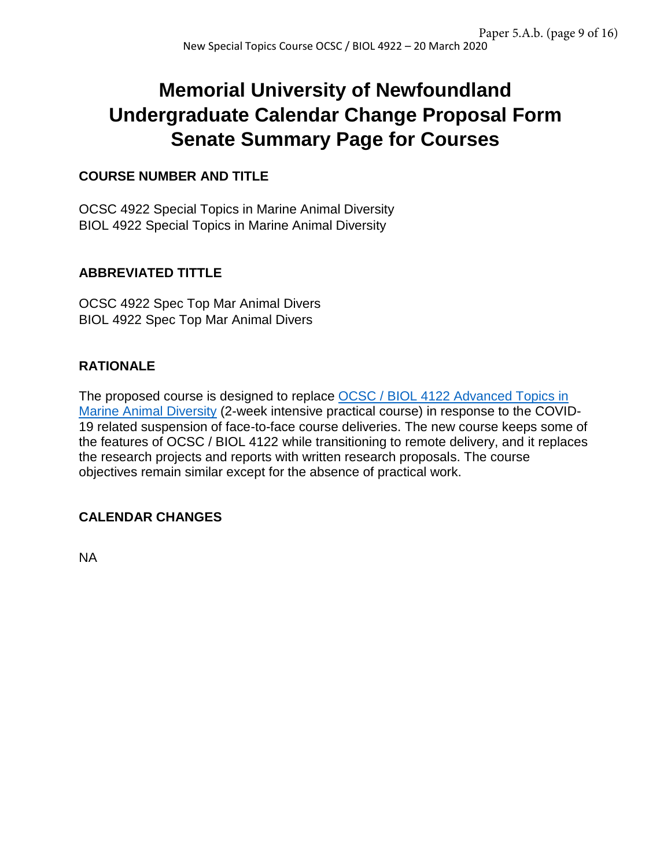# **Memorial University of Newfoundland Undergraduate Calendar Change Proposal Form Senate Summary Page for Courses**

#### **COURSE NUMBER AND TITLE**

OCSC 4922 Special Topics in Marine Animal Diversity BIOL 4922 Special Topics in Marine Animal Diversity

### **ABBREVIATED TITTLE**

OCSC 4922 Spec Top Mar Animal Divers BIOL 4922 Spec Top Mar Animal Divers

### **RATIONALE**

The proposed course is designed to replace OCSC / BIOL 4122 Advanced Topics in [Marine Animal Diversity](https://www.mun.ca/osc/undergrad/OCSC_4122_W2019.pdf) (2-week intensive practical course) in response to the COVID-19 related suspension of face-to-face course deliveries. The new course keeps some of the features of OCSC / BIOL 4122 while transitioning to remote delivery, and it replaces the research projects and reports with written research proposals. The course objectives remain similar except for the absence of practical work.

#### **CALENDAR CHANGES**

NA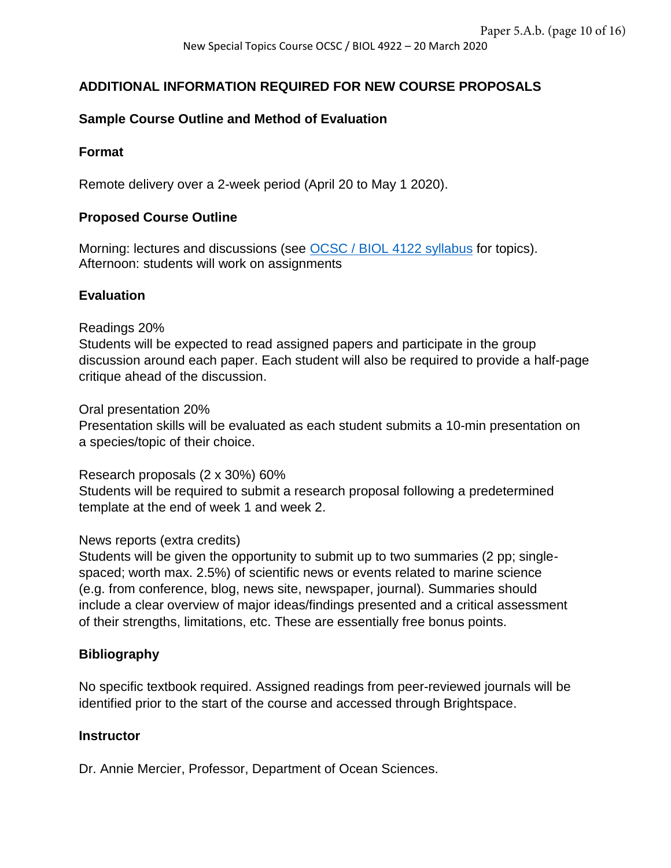#### **ADDITIONAL INFORMATION REQUIRED FOR NEW COURSE PROPOSALS**

#### **Sample Course Outline and Method of Evaluation**

#### **Format**

Remote delivery over a 2-week period (April 20 to May 1 2020).

#### **Proposed Course Outline**

Morning: lectures and discussions (see [OCSC / BIOL 4122 syllabus](https://www.mun.ca/osc/undergrad/OCSC_4122_W2019.pdf) for topics). Afternoon: students will work on assignments

#### **Evaluation**

Readings 20%

Students will be expected to read assigned papers and participate in the group discussion around each paper. Each student will also be required to provide a half-page critique ahead of the discussion.

Oral presentation 20%

Presentation skills will be evaluated as each student submits a 10-min presentation on a species/topic of their choice.

Research proposals (2 x 30%) 60% Students will be required to submit a research proposal following a predetermined template at the end of week 1 and week 2.

#### News reports (extra credits)

Students will be given the opportunity to submit up to two summaries (2 pp; singlespaced; worth max. 2.5%) of scientific news or events related to marine science (e.g. from conference, blog, news site, newspaper, journal). Summaries should include a clear overview of major ideas/findings presented and a critical assessment of their strengths, limitations, etc. These are essentially free bonus points.

#### **Bibliography**

No specific textbook required. Assigned readings from peer-reviewed journals will be identified prior to the start of the course and accessed through Brightspace.

#### **Instructor**

Dr. Annie Mercier, Professor, Department of Ocean Sciences.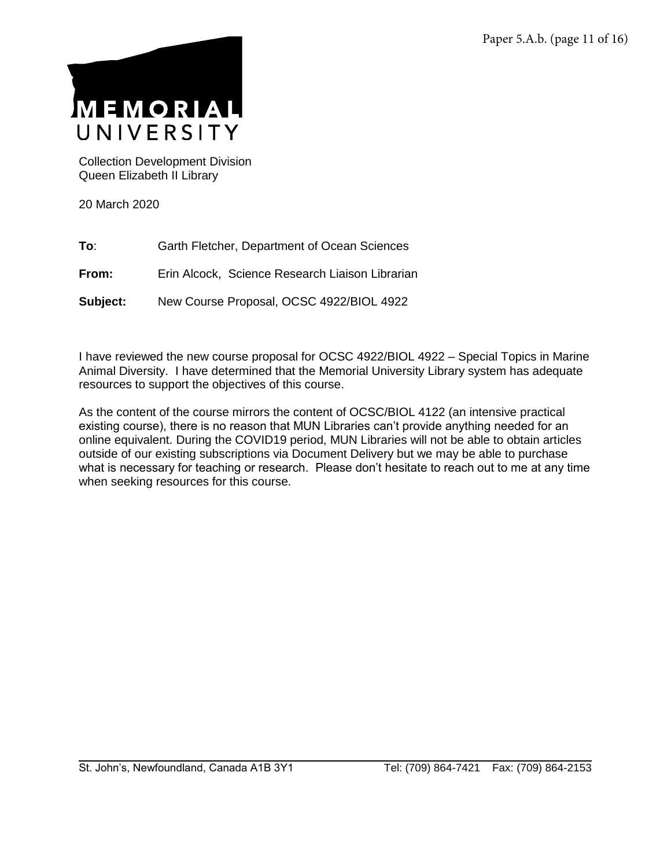

Collection Development Division Queen Elizabeth II Library

20 March 2020

- **To**: Garth Fletcher, Department of Ocean Sciences
- **From:** Erin Alcock, Science Research Liaison Librarian
- **Subject:** New Course Proposal, OCSC 4922/BIOL 4922

I have reviewed the new course proposal for OCSC 4922/BIOL 4922 – Special Topics in Marine Animal Diversity. I have determined that the Memorial University Library system has adequate resources to support the objectives of this course.

As the content of the course mirrors the content of OCSC/BIOL 4122 (an intensive practical existing course), there is no reason that MUN Libraries can't provide anything needed for an online equivalent. During the COVID19 period, MUN Libraries will not be able to obtain articles outside of our existing subscriptions via Document Delivery but we may be able to purchase what is necessary for teaching or research. Please don't hesitate to reach out to me at any time when seeking resources for this course.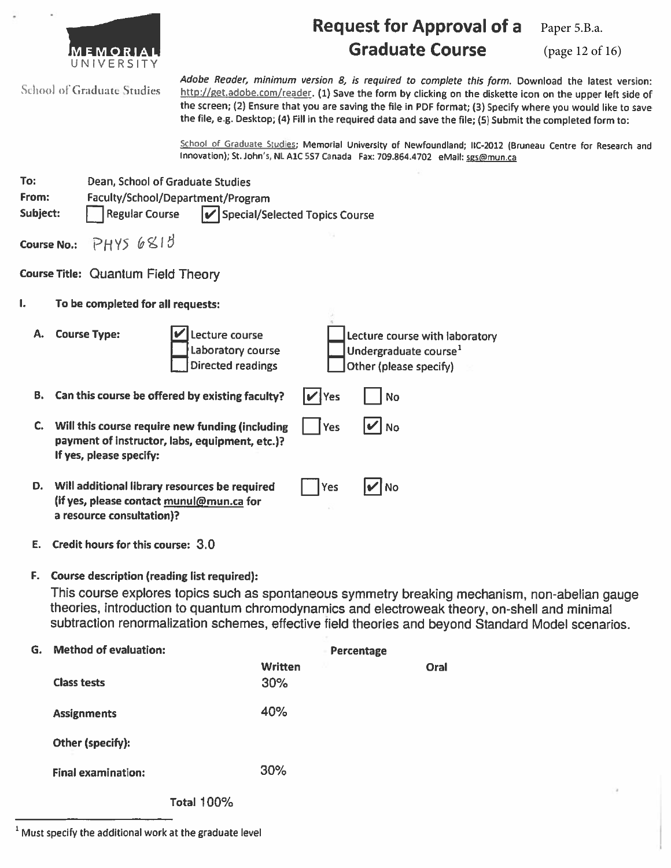|                                         |                                                                                                                                                                                                                                                                                                       |                                                                                                                                                                                                                                                                                                                                                                                                                                            | <b>Request for Approval of a</b> | Paper 5.B.a.    |  |
|-----------------------------------------|-------------------------------------------------------------------------------------------------------------------------------------------------------------------------------------------------------------------------------------------------------------------------------------------------------|--------------------------------------------------------------------------------------------------------------------------------------------------------------------------------------------------------------------------------------------------------------------------------------------------------------------------------------------------------------------------------------------------------------------------------------------|----------------------------------|-----------------|--|
|                                         | UNIVERSITY                                                                                                                                                                                                                                                                                            |                                                                                                                                                                                                                                                                                                                                                                                                                                            | <b>Graduate Course</b>           | (page 12 of 16) |  |
|                                         | <b>School of Graduate Studies</b>                                                                                                                                                                                                                                                                     | Adobe Reader, minimum version 8, is required to complete this form. Download the latest version:<br>http://get.adobe.com/reader. (1) Save the form by clicking on the diskette icon on the upper left side of<br>the screen; (2) Ensure that you are saving the file in PDF format; (3) Specify where you would like to save<br>the file, e.g. Desktop; (4) Fill in the required data and save the file; (5) Submit the completed form to: |                                  |                 |  |
|                                         | School of Graduate Studies; Memorial University of Newfoundland; IIC-2012 (Bruneau Centre for Research and<br>Innovation); St. John's, NL A1C 5S7 Canada Fax: 709.864.4702 eMail: sgs@mun.ca                                                                                                          |                                                                                                                                                                                                                                                                                                                                                                                                                                            |                                  |                 |  |
| To:<br>From:                            | Dean, School of Graduate Studies<br>Faculty/School/Department/Program<br>Subject:<br><b>Regular Course</b><br>↓ Special/Selected Topics Course                                                                                                                                                        |                                                                                                                                                                                                                                                                                                                                                                                                                                            |                                  |                 |  |
| PHYS6813<br><b>Course No.:</b>          |                                                                                                                                                                                                                                                                                                       |                                                                                                                                                                                                                                                                                                                                                                                                                                            |                                  |                 |  |
| Course Title: Quantum Field Theory      |                                                                                                                                                                                                                                                                                                       |                                                                                                                                                                                                                                                                                                                                                                                                                                            |                                  |                 |  |
| ı.<br>To be completed for all requests: |                                                                                                                                                                                                                                                                                                       |                                                                                                                                                                                                                                                                                                                                                                                                                                            |                                  |                 |  |
| Α.                                      | <b>Course Type:</b><br>Lecture course<br>Lecture course with laboratory<br>Undergraduate course <sup>1</sup><br>Laboratory course<br><b>Directed readings</b><br>Other (please specify)                                                                                                               |                                                                                                                                                                                                                                                                                                                                                                                                                                            |                                  |                 |  |
| В.                                      | Can this course be offered by existing faculty?<br>No<br>Yes                                                                                                                                                                                                                                          |                                                                                                                                                                                                                                                                                                                                                                                                                                            |                                  |                 |  |
|                                         | C. Will this course require new funding (including<br>'  No<br>Yes<br>payment of instructor, labs, equipment, etc.)?<br>If yes, please specify:                                                                                                                                                       |                                                                                                                                                                                                                                                                                                                                                                                                                                            |                                  |                 |  |
| D.                                      | Will additional library resources be required<br>Yes<br><b>No</b><br>(if yes, please contact munul@mun.ca for<br>a resource consultation)?                                                                                                                                                            |                                                                                                                                                                                                                                                                                                                                                                                                                                            |                                  |                 |  |
| Е.                                      | Credit hours for this course: 3.0                                                                                                                                                                                                                                                                     |                                                                                                                                                                                                                                                                                                                                                                                                                                            |                                  |                 |  |
| F.                                      | Course description (reading list required):                                                                                                                                                                                                                                                           |                                                                                                                                                                                                                                                                                                                                                                                                                                            |                                  |                 |  |
|                                         | This course explores topics such as spontaneous symmetry breaking mechanism, non-abelian gauge<br>theories, introduction to quantum chromodynamics and electroweak theory, on-shell and minimal<br>subtraction renormalization schemes, effective field theories and beyond Standard Model scenarios. |                                                                                                                                                                                                                                                                                                                                                                                                                                            |                                  |                 |  |
| G.                                      | <b>Method of evaluation:</b>                                                                                                                                                                                                                                                                          |                                                                                                                                                                                                                                                                                                                                                                                                                                            | <b>Percentage</b>                |                 |  |
|                                         | <b>Class tests</b>                                                                                                                                                                                                                                                                                    | <b>Written</b><br>30%                                                                                                                                                                                                                                                                                                                                                                                                                      | Oral                             |                 |  |
|                                         | <b>Assignments</b>                                                                                                                                                                                                                                                                                    | 40%                                                                                                                                                                                                                                                                                                                                                                                                                                        |                                  |                 |  |
|                                         | Other (specify):                                                                                                                                                                                                                                                                                      |                                                                                                                                                                                                                                                                                                                                                                                                                                            |                                  |                 |  |
|                                         | <b>Final examination:</b>                                                                                                                                                                                                                                                                             | 30%                                                                                                                                                                                                                                                                                                                                                                                                                                        |                                  |                 |  |
| <b>Total 100%</b>                       |                                                                                                                                                                                                                                                                                                       |                                                                                                                                                                                                                                                                                                                                                                                                                                            |                                  |                 |  |

 $^{-1}$  Must specify the additional work at the graduate level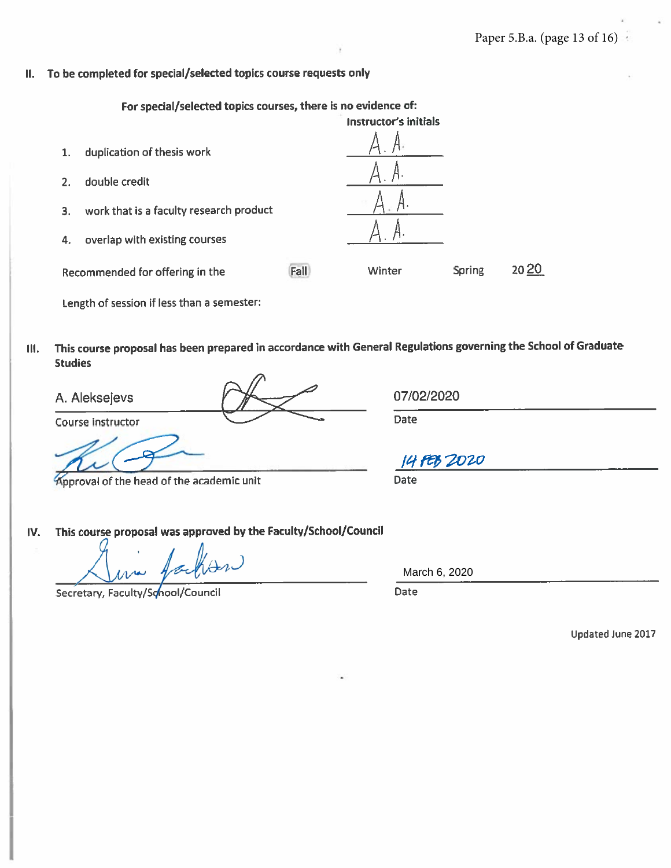#### To be completed for special/selected topics course requests only  $II.$

For special/selected topics courses, there is no evidence of:

- **Instructor's initials** duplication of thesis work  $1.$  $2.$ double credit work that is a faculty research product  $3.$ overlap with existing courses 4. 2020 Fall Winter **Spring** Recommended for offering in the Length of session if less than a semester:
- This course proposal has been prepared in accordance with General Regulations governing the School of Graduate Ш. **Studies**

A. Aleksejevs

Course instructor

pproval of the head of the academic unit

This course proposal was approved by the Faculty/School/Council IV.

Secretary, Faculty/School/Council

March 6, 2020

**Date** 

Updated June 2017

07/02/2020

Date

14 FEB 2020

**Date**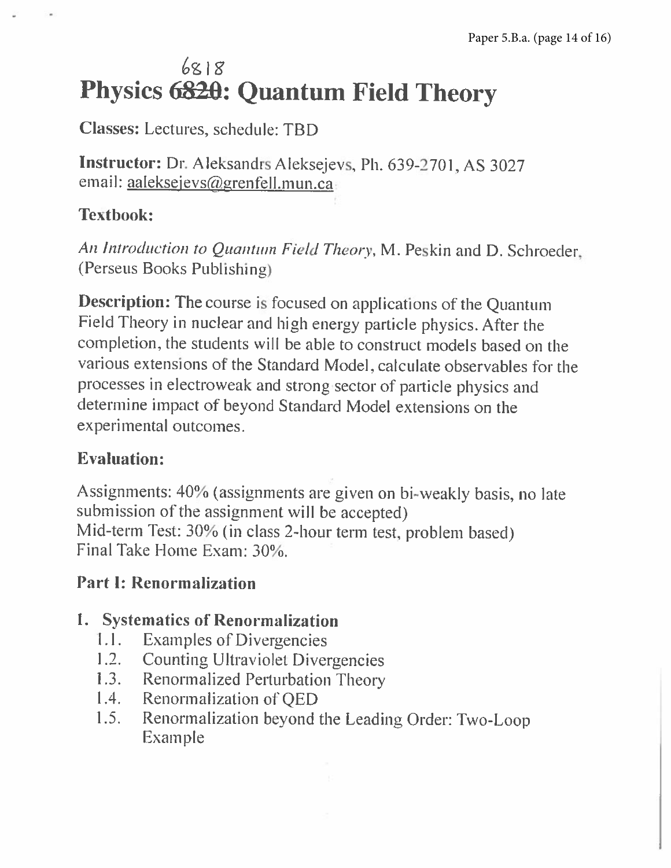# $6818$ Physics 6820: Quantum Field Theory

**Classes:** Lectures, schedule: TBD

Instructor: Dr. Aleksandrs Aleksejevs, Ph. 639-2701, AS 3027 email: aaleksejevs@grenfell.mun.ca

### **Textbook:**

An Introduction to Quantum Field Theory, M. Peskin and D. Schroeder, (Perseus Books Publishing)

**Description:** The course is focused on applications of the Quantum Field Theory in nuclear and high energy particle physics. After the completion, the students will be able to construct models based on the various extensions of the Standard Model, calculate observables for the processes in electroweak and strong sector of particle physics and determine impact of beyond Standard Model extensions on the experimental outcomes.

### **Evaluation:**

Assignments: 40% (assignments are given on bi-weakly basis, no late submission of the assignment will be accepted) Mid-term Test: 30% (in class 2-hour term test, problem based) Final Take Home Exam: 30%.

### **Part I: Renormalization**

### 1. Systematics of Renormalization

- $1.1.$ **Examples of Divergencies**
- $1.2.$ **Counting Ultraviolet Divergencies**
- $1.3.$ **Renormalized Perturbation Theory**
- Renormalization of OED  $1.4.$
- Renormalization beyond the Leading Order: Two-Loop  $1.5.$ Example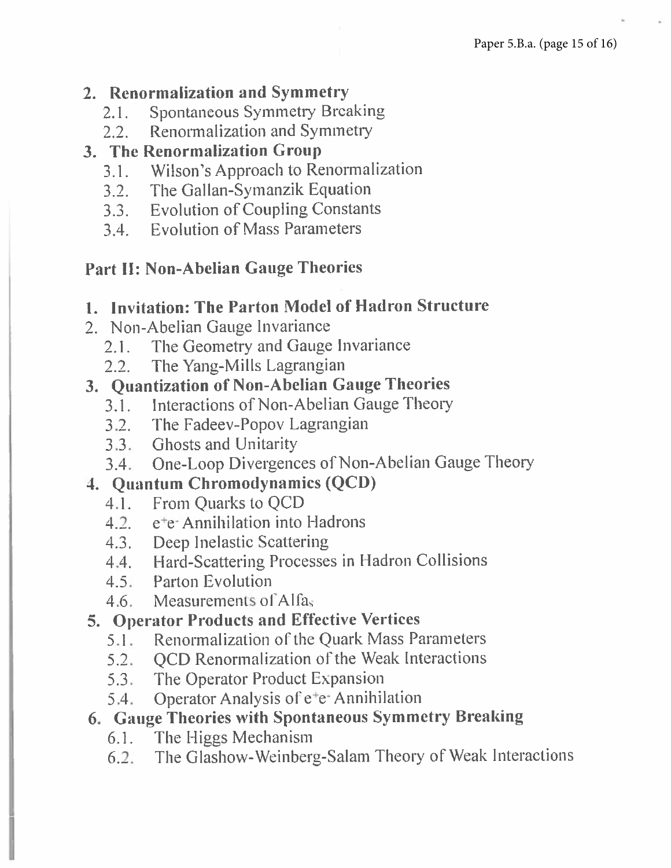### 2. Renormalization and Symmetry

- **Spontaneous Symmetry Breaking**  $2.1$ .
- Renormalization and Symmetry  $2.2.$

### 3. The Renormalization Group

- Wilson's Approach to Renormalization  $3.1 -$
- 3.2. The Gallan-Symanzik Equation
- 3.3. Evolution of Coupling Constants
- 3.4. Evolution of Mass Parameters

### **Part II: Non-Abelian Gauge Theories**

### 1. Invitation: The Parton Model of Hadron Structure

- 2. Non-Abelian Gauge Invariance
	- The Geometry and Gauge Invariance  $2.1.$
	- The Yang-Mills Lagrangian  $2.2.$

### 3. Quantization of Non-Abelian Gauge Theories

- Interactions of Non-Abelian Gauge Theory  $3.1.$
- 3.2. The Fadeev-Popov Lagrangian
- 3.3. Ghosts and Unitarity
- 3.4. One-Loop Divergences of Non-Abelian Gauge Theory

### 4. Quantum Chromodynamics (QCD)

- From Ouarks to OCD  $4.1.$
- 4.2. e<sup>+</sup>e-Annihilation into Hadrons
- 4.3. Deep Inelastic Scattering
- 4.4. Hard-Scattering Processes in Hadron Collisions
- 4.5 Parton Evolution
- 4.6. Measurements of Alfas

### 5. Operator Products and Effective Vertices

- **Renormalization of the Quark Mass Parameters**  $5.1 -$
- 5.2. OCD Renormalization of the Weak Interactions
- The Operator Product Expansion  $5.3 -$
- $5.4.$ Operator Analysis of e<sup>+</sup>e+ Annihilation

### 6. Gauge Theories with Spontaneous Symmetry Breaking

- The Higgs Mechanism  $6.1.$
- The Glashow-Weinberg-Salam Theory of Weak Interactions  $6.2.$